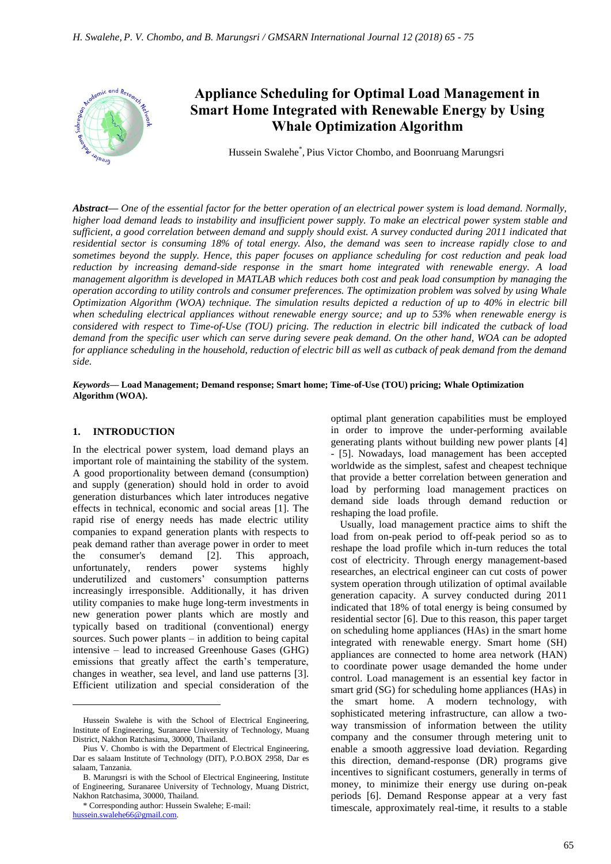

# **Appliance Scheduling for Optimal Load Management in Smart Home Integrated with Renewable Energy by Using Whale Optimization Algorithm**

Hussein Swalehe\* , Pius Victor Chombo, and Boonruang Marungsri

*Abstract***—** *One of the essential factor for the better operation of an electrical power system is load demand. Normally, higher load demand leads to instability and insufficient power supply. To make an electrical power system stable and sufficient, a good correlation between demand and supply should exist. A survey conducted during 2011 indicated that residential sector is consuming 18% of total energy. Also, the demand was seen to increase rapidly close to and sometimes beyond the supply. Hence, this paper focuses on appliance scheduling for cost reduction and peak load reduction by increasing demand-side response in the smart home integrated with renewable energy. A load management algorithm is developed in MATLAB which reduces both cost and peak load consumption by managing the operation according to utility controls and consumer preferences. The optimization problem was solved by using Whale Optimization Algorithm (WOA) technique. The simulation results depicted a reduction of up to 40% in electric bill when scheduling electrical appliances without renewable energy source; and up to 53% when renewable energy is considered with respect to Time-of-Use (TOU) pricing. The reduction in electric bill indicated the cutback of load demand from the specific user which can serve during severe peak demand. On the other hand, WOA can be adopted for appliance scheduling in the household, reduction of electric bill as well as cutback of peak demand from the demand side.*

*Keywords***— Load Management; Demand response; Smart home; Time-of-Use (TOU) pricing; Whale Optimization Algorithm (WOA).**

#### **1. INTRODUCTION**

 $\overline{a}$ 

In the electrical power system, load demand plays an important role of maintaining the stability of the system. A good proportionality between demand (consumption) and supply (generation) should hold in order to avoid generation disturbances which later introduces negative effects in technical, economic and social areas [1]. The rapid rise of energy needs has made electric utility companies to expand generation plants with respects to peak demand rather than average power in order to meet the consumer's demand [2]. This approach, unfortunately, renders power systems highly underutilized and customers" consumption patterns increasingly irresponsible. Additionally, it has driven utility companies to make huge long-term investments in new generation power plants which are mostly and typically based on traditional (conventional) energy sources. Such power plants – in addition to being capital intensive – lead to increased Greenhouse Gases (GHG) emissions that greatly affect the earth"s temperature, changes in weather, sea level, and land use patterns [3]. Efficient utilization and special consideration of the

optimal plant generation capabilities must be employed in order to improve the under-performing available generating plants without building new power plants [4] - [5]. Nowadays, load management has been accepted worldwide as the simplest, safest and cheapest technique that provide a better correlation between generation and load by performing load management practices on demand side loads through demand reduction or reshaping the load profile.

Usually, load management practice aims to shift the load from on-peak period to off-peak period so as to reshape the load profile which in-turn reduces the total cost of electricity. Through energy management-based researches, an electrical engineer can cut costs of power system operation through utilization of optimal available generation capacity. A survey conducted during 2011 indicated that 18% of total energy is being consumed by residential sector [6]. Due to this reason, this paper target on scheduling home appliances (HAs) in the smart home integrated with renewable energy. Smart home (SH) appliances are connected to home area network (HAN) to coordinate power usage demanded the home under control. Load management is an essential key factor in smart grid (SG) for scheduling home appliances (HAs) in the smart home. A modern technology, with sophisticated metering infrastructure, can allow a twoway transmission of information between the utility company and the consumer through metering unit to enable a smooth aggressive load deviation. Regarding this direction, demand-response (DR) programs give incentives to significant costumers, generally in terms of money, to minimize their energy use during on-peak periods [6]. Demand Response appear at a very fast timescale, approximately real-time, it results to a stable

Hussein Swalehe is with the School of Electrical Engineering, Institute of Engineering, Suranaree University of Technology, Muang District, Nakhon Ratchasima, 30000, Thailand.

Pius V. Chombo is with the Department of Electrical Engineering, Dar es salaam Institute of Technology (DIT), P.O.BOX 2958, Dar es salaam, Tanzania.

B. Marungsri is with the School of Electrical Engineering, Institute of Engineering, Suranaree University of Technology, Muang District, Nakhon Ratchasima, 30000, Thailand.

<sup>\*</sup> Corresponding author: Hussein Swalehe; E-mail: [hussein.swalehe66@gmail.com.](mailto:hussein.swalehe66@gmail.com)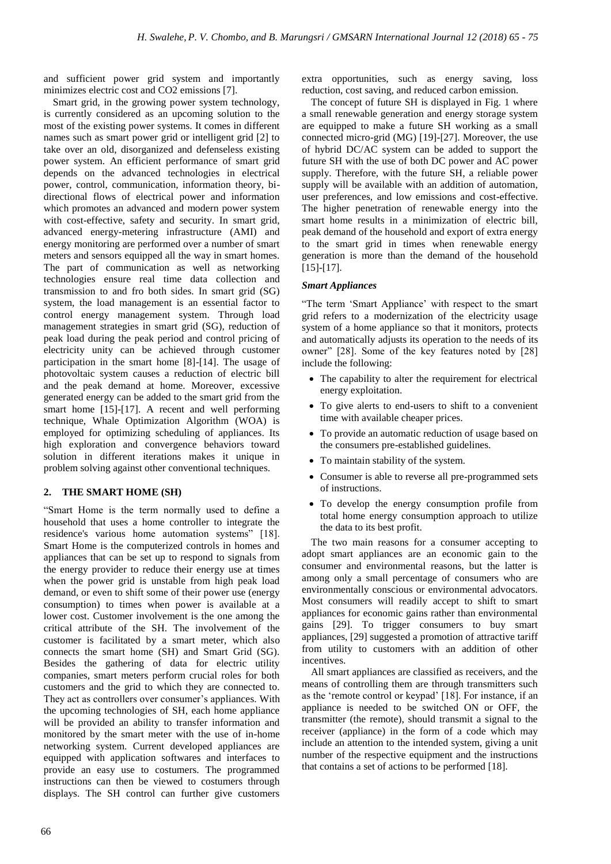and sufficient power grid system and importantly minimizes electric cost and CO2 emissions [7].

Smart grid, in the growing power system technology, is currently considered as an upcoming solution to the most of the existing power systems. It comes in different names such as smart power grid or intelligent grid [2] to take over an old, disorganized and defenseless existing power system. An efficient performance of smart grid depends on the advanced technologies in electrical power, control, communication, information theory, bidirectional flows of electrical power and information which promotes an advanced and modern power system with cost-effective, safety and security. In smart grid, advanced energy-metering infrastructure (AMI) and energy monitoring are performed over a number of smart meters and sensors equipped all the way in smart homes. The part of communication as well as networking technologies ensure real time data collection and transmission to and fro both sides. In smart grid (SG) system, the load management is an essential factor to control energy management system. Through load management strategies in smart grid (SG), reduction of peak load during the peak period and control pricing of electricity unity can be achieved through customer participation in the smart home [8]-[14]. The usage of photovoltaic system causes a reduction of electric bill and the peak demand at home. Moreover, excessive generated energy can be added to the smart grid from the smart home [15]-[17]. A recent and well performing technique, Whale Optimization Algorithm (WOA) is employed for optimizing scheduling of appliances. Its high exploration and convergence behaviors toward solution in different iterations makes it unique in problem solving against other conventional techniques.

# **2. THE SMART HOME (SH)**

"Smart Home is the term normally used to define a household that uses a home controller to integrate the residence's various home automation systems" [18]. Smart Home is the computerized controls in homes and appliances that can be set up to respond to signals from the energy provider to reduce their energy use at times when the power grid is unstable from high peak load demand, or even to shift some of their power use (energy consumption) to times when power is available at a lower cost. Customer involvement is the one among the critical attribute of the SH. The involvement of the customer is facilitated by a smart meter, which also connects the smart home (SH) and Smart Grid (SG). Besides the gathering of data for electric utility companies, smart meters perform crucial roles for both customers and the grid to which they are connected to. They act as controllers over consumer's appliances. With the upcoming technologies of SH, each home appliance will be provided an ability to transfer information and monitored by the smart meter with the use of in-home networking system. Current developed appliances are equipped with application softwares and interfaces to provide an easy use to costumers. The programmed instructions can then be viewed to costumers through displays. The SH control can further give customers

extra opportunities, such as energy saving, loss reduction, cost saving, and reduced carbon emission.

The concept of future SH is displayed in Fig. 1 where a small renewable generation and energy storage system are equipped to make a future SH working as a small connected micro-grid (MG) [19]-[27]. Moreover, the use of hybrid DC/AC system can be added to support the future SH with the use of both DC power and AC power supply. Therefore, with the future SH, a reliable power supply will be available with an addition of automation, user preferences, and low emissions and cost-effective. The higher penetration of renewable energy into the smart home results in a minimization of electric bill, peak demand of the household and export of extra energy to the smart grid in times when renewable energy generation is more than the demand of the household [15]-[17].

# *Smart Appliances*

"The term "Smart Appliance" with respect to the smart grid refers to a modernization of the electricity usage system of a home appliance so that it monitors, protects and automatically adjusts its operation to the needs of its owner" [28]. Some of the key features noted by [28] include the following:

- The capability to alter the requirement for electrical energy exploitation.
- To give alerts to end-users to shift to a convenient time with available cheaper prices.
- To provide an automatic reduction of usage based on the consumers pre-established guidelines.
- To maintain stability of the system.
- Consumer is able to reverse all pre-programmed sets of instructions.
- To develop the energy consumption profile from total home energy consumption approach to utilize the data to its best profit.

The two main reasons for a consumer accepting to adopt smart appliances are an economic gain to the consumer and environmental reasons, but the latter is among only a small percentage of consumers who are environmentally conscious or environmental advocators. Most consumers will readily accept to shift to smart appliances for economic gains rather than environmental gains [29]. To trigger consumers to buy smart appliances, [29] suggested a promotion of attractive tariff from utility to customers with an addition of other incentives.

All smart appliances are classified as receivers, and the means of controlling them are through transmitters such as the "remote control or keypad" [18]. For instance, if an appliance is needed to be switched ON or OFF, the transmitter (the remote), should transmit a signal to the receiver (appliance) in the form of a code which may include an attention to the intended system, giving a unit number of the respective equipment and the instructions that contains a set of actions to be performed [18].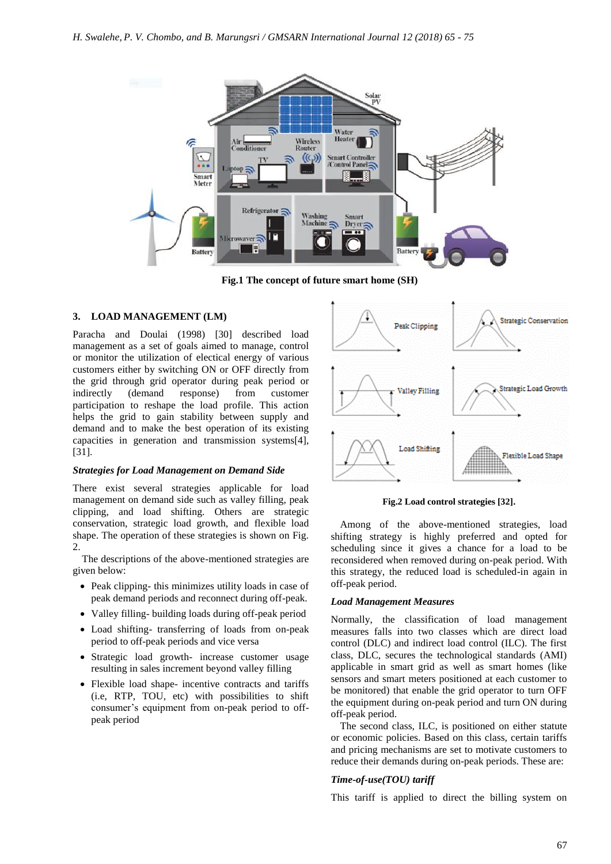

**Fig.1 The concept of future smart home (SH)**

## **3. LOAD MANAGEMENT (LM)**

Paracha and Doulai (1998) [30] described load management as a set of goals aimed to manage, control or monitor the utilization of electical energy of various customers either by switching ON or OFF directly from the grid through grid operator during peak period or indirectly (demand response) from customer participation to reshape the load profile. This action helps the grid to gain stability between supply and demand and to make the best operation of its existing capacities in generation and transmission systems[4], [31].

#### *Strategies for Load Management on Demand Side*

There exist several strategies applicable for load management on demand side such as valley filling, peak clipping, and load shifting. Others are strategic conservation, strategic load growth, and flexible load shape. The operation of these strategies is shown on Fig. 2.

The descriptions of the above-mentioned strategies are given below:

- Peak clipping- this minimizes utility loads in case of peak demand periods and reconnect during off-peak.
- Valley filling- building loads during off-peak period
- Load shifting- transferring of loads from on-peak period to off-peak periods and vice versa
- Strategic load growth- increase customer usage resulting in sales increment beyond valley filling
- Flexible load shape- incentive contracts and tariffs (i.e, RTP, TOU, etc) with possibilities to shift consumer's equipment from on-peak period to offpeak period



**Fig.2 Load control strategies [32].**

Among of the above-mentioned strategies, load shifting strategy is highly preferred and opted for scheduling since it gives a chance for a load to be reconsidered when removed during on-peak period. With this strategy, the reduced load is scheduled-in again in off-peak period.

#### *Load Management Measures*

Normally, the classification of load management measures falls into two classes which are direct load control (DLC) and indirect load control (ILC). The first class, DLC, secures the technological standards (AMI) applicable in smart grid as well as smart homes (like sensors and smart meters positioned at each customer to be monitored) that enable the grid operator to turn OFF the equipment during on-peak period and turn ON during off-peak period.

The second class, ILC, is positioned on either statute or economic policies. Based on this class, certain tariffs and pricing mechanisms are set to motivate customers to reduce their demands during on-peak periods. These are:

### *Time-of-use(TOU) tariff*

This tariff is applied to direct the billing system on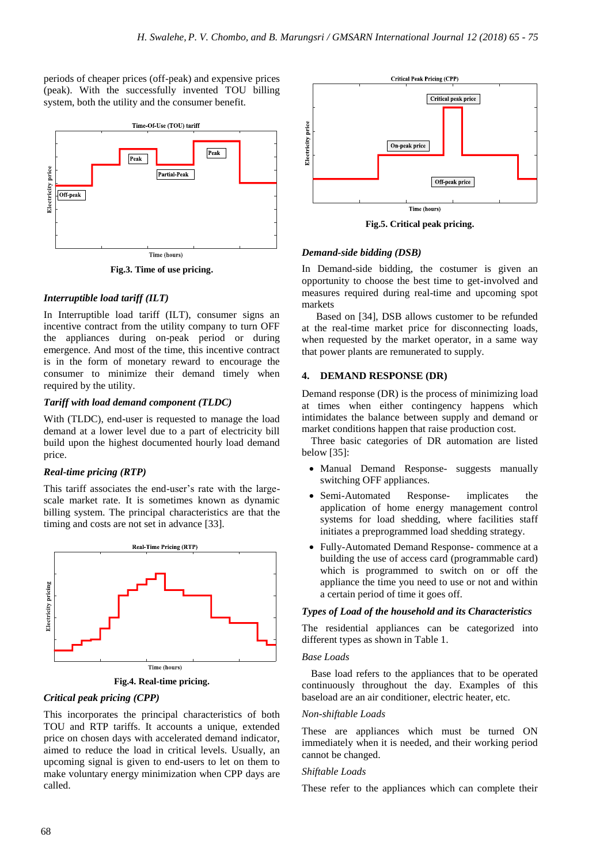periods of cheaper prices (off-peak) and expensive prices (peak). With the successfully invented TOU billing system, both the utility and the consumer benefit.



**Fig.3. Time of use pricing.**

# *Interruptible load tariff (ILT)*

In Interruptible load tariff (ILT), consumer signs an incentive contract from the utility company to turn OFF the appliances during on-peak period or during emergence. And most of the time, this incentive contract is in the form of monetary reward to encourage the consumer to minimize their demand timely when required by the utility.

# *Tariff with load demand component (TLDC)*

With (TLDC), end-user is requested to manage the load demand at a lower level due to a part of electricity bill build upon the highest documented hourly load demand price.

# *Real-time pricing (RTP)*

This tariff associates the end-user's rate with the largescale market rate. It is sometimes known as dynamic billing system. The principal characteristics are that the timing and costs are not set in advance [33].



**Fig.4. Real-time pricing.**

# *Critical peak pricing (CPP)*

This incorporates the principal characteristics of both TOU and RTP tariffs. It accounts a unique, extended price on chosen days with accelerated demand indicator, aimed to reduce the load in critical levels. Usually, an upcoming signal is given to end-users to let on them to make voluntary energy minimization when CPP days are called.



**Fig.5. Critical peak pricing.**

# *Demand-side bidding (DSB)*

In Demand-side bidding, the costumer is given an opportunity to choose the best time to get-involved and measures required during real-time and upcoming spot markets

 Based on [34], DSB allows customer to be refunded at the real-time market price for disconnecting loads, when requested by the market operator, in a same way that power plants are remunerated to supply.

# **4. DEMAND RESPONSE (DR)**

Demand response (DR) is the process of minimizing load at times when either contingency happens which intimidates the balance between supply and demand or market conditions happen that raise production cost.

Three basic categories of DR automation are listed below [35]:

- Manual Demand Response- suggests manually switching OFF appliances.
- Semi-Automated Response- implicates the application of home energy management control systems for load shedding, where facilities staff initiates a preprogrammed load shedding strategy.
- Fully-Automated Demand Response- commence at a building the use of access card (programmable card) which is programmed to switch on or off the appliance the time you need to use or not and within a certain period of time it goes off.

## *Types of Load of the household and its Characteristics*

The residential appliances can be categorized into different types as shown in Table 1.

# *Base Loads*

Base load refers to the appliances that to be operated continuously throughout the day. Examples of this baseload are an air conditioner, electric heater, etc.

# *Non-shiftable Loads*

These are appliances which must be turned ON immediately when it is needed, and their working period cannot be changed.

# *Shiftable Loads*

These refer to the appliances which can complete their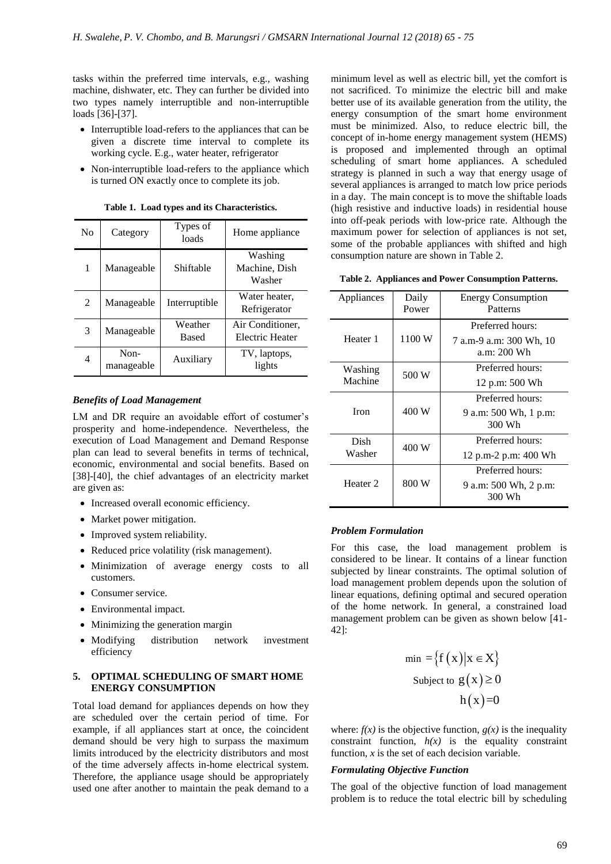tasks within the preferred time intervals, e.g., washing machine, dishwater, etc. They can further be divided into two types namely interruptible and non-interruptible loads [36]-[37].

- Interruptible load-refers to the appliances that can be given a discrete time interval to complete its working cycle. E.g., water heater, refrigerator
- Non-interruptible load-refers to the appliance which is turned ON exactly once to complete its job.

| N <sub>0</sub> | Category           | Types of<br>loads       | Home appliance                      |
|----------------|--------------------|-------------------------|-------------------------------------|
| 1              | Manageable         | Shiftable               | Washing<br>Machine, Dish<br>Washer  |
| $\mathcal{L}$  | Manageable         | Interruptible           | Water heater,<br>Refrigerator       |
| 3              | Manageable         | Weather<br><b>Based</b> | Air Conditioner.<br>Electric Heater |
| 4              | Non-<br>manageable | Auxiliary               | TV, laptops,<br>lights              |

**Table 1. Load types and its Characteristics.**

#### *Benefits of Load Management*

LM and DR require an avoidable effort of costumer's prosperity and home-independence. Nevertheless, the execution of Load Management and Demand Response plan can lead to several benefits in terms of technical, economic, environmental and social benefits. Based on [38]-[40], the chief advantages of an electricity market are given as:

- Increased overall economic efficiency.
- Market power mitigation.
- Improved system reliability.
- Reduced price volatility (risk management).
- Minimization of average energy costs to all customers.
- Consumer service.
- Environmental impact.
- Minimizing the generation margin
- Modifying distribution network investment efficiency

#### **5. OPTIMAL SCHEDULING OF SMART HOME ENERGY CONSUMPTION**

Total load demand for appliances depends on how they are scheduled over the certain period of time. For example, if all appliances start at once, the coincident demand should be very high to surpass the maximum limits introduced by the electricity distributors and most of the time adversely affects in-home electrical system. Therefore, the appliance usage should be appropriately used one after another to maintain the peak demand to a minimum level as well as electric bill, yet the comfort is not sacrificed. To minimize the electric bill and make better use of its available generation from the utility, the energy consumption of the smart home environment must be minimized. Also, to reduce electric bill, the concept of in-home energy management system (HEMS) is proposed and implemented through an optimal scheduling of smart home appliances. A scheduled strategy is planned in such a way that energy usage of several appliances is arranged to match low price periods in a day. The main concept is to move the shiftable loads (high resistive and inductive loads) in residential house into off-peak periods with low-price rate. Although the maximum power for selection of appliances is not set, some of the probable appliances with shifted and high consumption nature are shown in Table 2.

**Table 2. Appliances and Power Consumption Patterns.**

| Appliances          | Daily<br>Power | <b>Energy Consumption</b><br>Patterns       |
|---------------------|----------------|---------------------------------------------|
| Heater 1            | 1100 W         | Preferred hours:<br>7 a.m-9 a.m: 300 Wh, 10 |
|                     |                | a.m: 200 Wh                                 |
| Washing             | 500 W          | Preferred hours:                            |
| Machine             |                | 12 p.m: 500 Wh                              |
|                     |                | Preferred hours:                            |
| <b>Iron</b>         | 400 W          | 9 a.m: 500 Wh, 1 p.m:<br>300 Wh             |
| Dish                | 400 W          | Preferred hours:                            |
| Washer              |                | 12 p.m-2 p.m: 400 Wh                        |
|                     | 800 W          | Preferred hours:                            |
| Heater <sub>2</sub> |                | 9 a.m: 500 Wh, 2 p.m:<br>300 Wh             |

#### *Problem Formulation*

For this case, the load management problem is considered to be linear. It contains of a linear function subjected by linear constraints. The optimal solution of load management problem depends upon the solution of linear equations, defining optimal and secured operation of the home network. In general, a constrained load management problem can be given as shown below [41- 42]:

$$
\min = \{ f(x) | x \in X \}
$$
  
Subject to  $g(x) \ge 0$   
 $h(x)=0$ 

where:  $f(x)$  is the objective function,  $g(x)$  is the inequality constraint function,  $h(x)$  is the equality constraint function, *x* is the set of each decision variable.

# *Formulating Objective Function*

The goal of the objective function of load management problem is to reduce the total electric bill by scheduling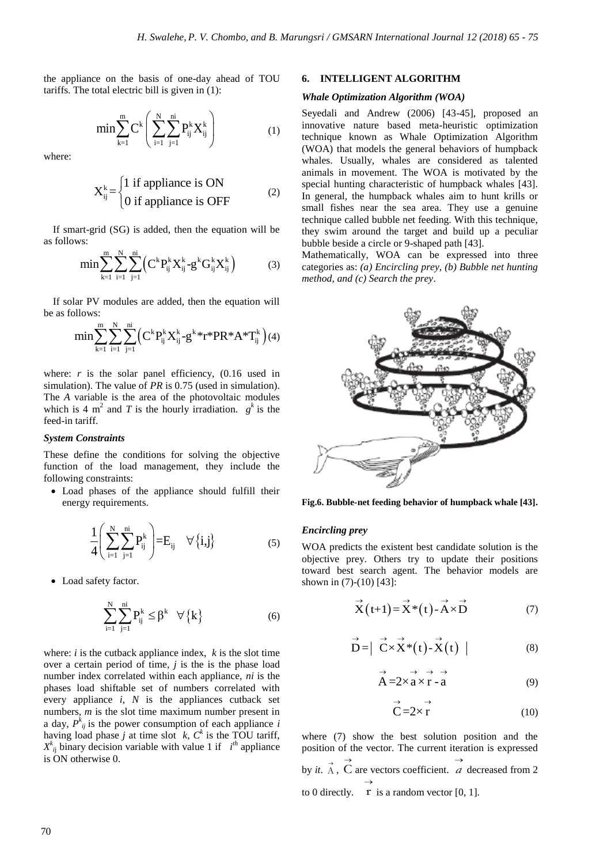the appliance on the basis of one-day ahead of TOU tariffs. The total electric bill is given in (1):

$$
min\sum_{k=1}^m C^k \Bigg( \sum_{i=1}^N \sum_{j=1}^{ni} P_{ij}^k X_{ij}^k \Bigg) \qquad \qquad (1)
$$

where:

$$
X_{ij}^{k} = \begin{cases} 1 \text{ if appliance is ON} \\ 0 \text{ if appliance is OFF} \end{cases}
$$
 (2)

If smart-grid (SG) is added, then the equation will be as follows:

$$
\min \sum_{k=1}^{m} \sum_{i=1}^{N} \sum_{j=1}^{ni} \left( C^{k} P_{ij}^{k} X_{ij}^{k} - g^{k} G_{ij}^{k} X_{ij}^{k} \right)
$$
(3)

If solar PV modules are added, then the equation will be as follows:

$$
\min \sum_{k=1}^{m} \sum_{i=1}^{N} \sum_{j=1}^{ni} \left( C^{k} P_{ij}^{k} X_{ij}^{k} - g^{k} {*} r^{*} P R^{*} A^{*} T_{ij}^{k} \right) (4)
$$

where:  $r$  is the solar panel efficiency,  $(0.16$  used in simulation). The value of *PR* is 0.75 (used in simulation). The *A* variable is the area of the photovoltaic modules which is 4 m<sup>2</sup> and *T* is the hourly irradiation.  $g^k$  is the feed-in tariff.

#### *System Constraints*

These define the conditions for solving the objective function of the load management, they include the following constraints:

 Load phases of the appliance should fulfill their energy requirements.

$$
\frac{1}{4}\left(\sum_{i=1}^{N}\sum_{j=1}^{ni}P_{ij}^{k}\right) = E_{ij} \quad \forall \{i,j\}
$$
\n(5)

Load safety factor.

$$
\sum_{i=1}^{N} \sum_{j=1}^{ni} P_{ij}^{k} \leq \beta^{k} \quad \forall \{k\}
$$
 (6)

where: *i* is the cutback appliance index, *k* is the slot time over a certain period of time, *j* is the is the phase load number index correlated within each appliance, *ni* is the phases load shiftable set of numbers correlated with every appliance *i*, *N* is the appliances cutback set numbers, *m* is the slot time maximum number present in a day,  $P_{ij}^k$  is the power consumption of each appliance *i* having load phase *j* at time slot *k*,  $C^k$  is the TOU tariff,  $X^k_{ij}$  binary decision variable with value 1 if  $i^{th}$  appliance is ON otherwise 0.

## **6. INTELLIGENT ALGORITHM**

#### *Whale Optimization Algorithm (WOA)*

Seyedali and Andrew (2006) [43-45], proposed an innovative nature based meta-heuristic optimization technique known as Whale Optimization Algorithm (WOA) that models the general behaviors of humpback whales. Usually, whales are considered as talented animals in movement. The WOA is motivated by the special hunting characteristic of humpback whales [43]. In general, the humpback whales aim to hunt krills or small fishes near the sea area. They use a genuine technique called bubble net feeding. With this technique, they swim around the target and build up a peculiar bubble beside a circle or 9-shaped path [43].

Mathematically, WOA can be expressed into three categories as: *(a) Encircling prey, (b) Bubble net hunting method, and (c) Search the prey*.



**Fig.6. Bubble-net feeding behavior of humpback whale [43].**

#### *Encircling prey*

WOA predicts the existent best candidate solution is the objective prey. Others try to update their positions toward best search agent. The behavior models are shown in (7)-(10) [43]:

$$
\vec{X}(t+1) = \vec{X}^*(t) - \vec{A} \times \vec{D}
$$
 (7)

$$
\vec{\mathbf{D}} = |\vec{\mathbf{C}} \times \vec{\mathbf{X}}^*(t) - \vec{\mathbf{X}}(t)|
$$
 (8)

$$
\overrightarrow{A} = 2 \times \overrightarrow{a} \times \overrightarrow{r} - \overrightarrow{a}
$$
 (9)

$$
\stackrel{\rightarrow}{C} = 2 \times \stackrel{\rightarrow}{r} \tag{10}
$$

where (7) show the best solution position and the position of the vector. The current iteration is expressed by *it*.  $\vec{A}$ ,  $\vec{C}$  are vectors coefficient. *a* decreased from 2  $\rightarrow$  $\rightarrow$ to 0 directly.  $\mathbf{r}$  is a random vector [0, 1].  $\rightarrow$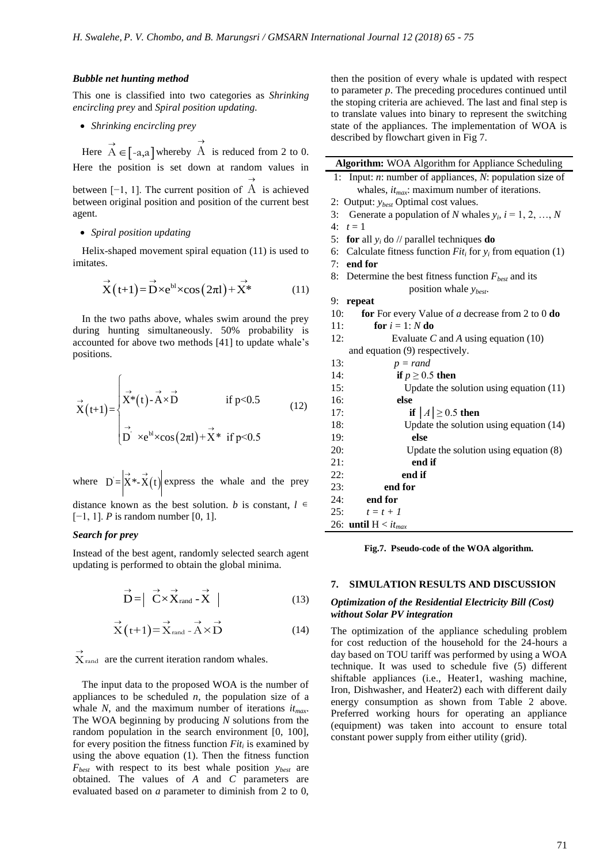#### *Bubble net hunting method*

This one is classified into two categories as *Shrinking encircling prey* and *Spiral position updating.* 

*Shrinking encircling prey* 

Here  $\overrightarrow{A} \in [-a,a]$  whereby  $\rightarrow$ A is reduced from 2 to 0. Here the position is set down at random values in

between [−1, 1]. The current position of  $\rightarrow$ A is achieved between original position and position of the current best agent.

#### *Spiral position updating*

Helix-shaped movement spiral equation (11) is used to imitates.

$$
\vec{X}(t+1) = \vec{D} \times e^{bl} \times \cos(2\pi l) + \vec{X}^* \tag{11}
$$

In the two paths above, whales swim around the prey during hunting simultaneously. 50% probability is accounted for above two methods [41] to update whale"s positions.

$$
\vec{X}(t+1) = \begin{cases}\n\vec{x}^*(t) - \vec{A} \times \vec{D} & \text{if } p < 0.5 \\
\vec{X}^*(t) - \vec{A} \times \vec{D} & \text{if } p < 0.5 \\
\vec{D}^{\cdot} \times e^{bl} \times \cos(2\pi l) + \vec{X}^* & \text{if } p \leq 0.5\n\end{cases}
$$
\n(12)

where  $D = |\vec{X}^* \cdot \vec{X}(t)|$  express the whale and the prey

distance known as the best solution. *b* is constant,  $l \in$ [−1, 1]. *P* is random number [0, 1].

#### *Search for prey*

Instead of the best agent, randomly selected search agent updating is performed to obtain the global minima.

$$
\vec{D} = \left| \overrightarrow{C} \times \overrightarrow{X}_{rand} - \overrightarrow{X} \right| \tag{13}
$$

$$
\overrightarrow{X}(t+1) = \overrightarrow{X}_{\text{rand}} - \overrightarrow{A} \times \overrightarrow{D}
$$
 (14)

 $\overrightarrow{X}_{\text{rand}}$  are the current iteration random whales.

The input data to the proposed WOA is the number of appliances to be scheduled  $n$ , the population size of a whale *N*, and the maximum number of iterations *itmax*. The WOA beginning by producing *N* solutions from the random population in the search environment [0, 100], for every position the fitness function *Fit<sup>i</sup>* is examined by using the above equation (1). Then the fitness function *Fbest* with respect to its best whale position *ybest* are obtained. The values of *A* and *C* parameters are evaluated based on *a* parameter to diminish from 2 to 0,

then the position of every whale is updated with respect to parameter *p*. The preceding procedures continued until the stoping criteria are achieved. The last and final step is to translate values into binary to represent the switching state of the appliances. The implementation of WOA is described by flowchart given in Fig 7.

| Algorithm: WOA Algorithm for Appliance Scheduling                 |  |  |
|-------------------------------------------------------------------|--|--|
| Input: $n$ : number of appliances, $N$ : population size of<br>1: |  |  |
| whales, $it_{max}$ : maximum number of iterations.                |  |  |
| 2: Output: <i>y<sub>best</sub></i> Optimal cost values.           |  |  |
| 3:<br>Generate a population of N whales $y_i$ , $i = 1, 2, , N$   |  |  |
| $t=1$<br>4:                                                       |  |  |
| for all $y_i$ do // parallel techniques do<br>5:                  |  |  |
| 6: Calculate fitness function $Fiti$ for $yi$ from equation (1)   |  |  |
| $7:$ end for                                                      |  |  |
| 8: Determine the best fitness function $F_{best}$ and its         |  |  |
| position whale $y_{best}$ .                                       |  |  |
| repeat<br>9:                                                      |  |  |
| for For every Value of $a$ decrease from 2 to 0 do<br>10:         |  |  |
| for $i = 1: N$ do<br>11:                                          |  |  |
| 12:<br>Evaluate $C$ and $A$ using equation (10)                   |  |  |
| and equation (9) respectively.                                    |  |  |
| 13:<br>$p = rand$                                                 |  |  |
| if $p \geq 0.5$ then<br>14:                                       |  |  |
| 15:<br>Update the solution using equation $(11)$                  |  |  |
| 16:<br>else                                                       |  |  |
| if $ A  \ge 0.5$ then<br>17:                                      |  |  |
| Update the solution using equation $(14)$<br>18:                  |  |  |
| else<br>19:                                                       |  |  |
| 20:<br>Update the solution using equation $(8)$                   |  |  |
| end if<br>21:                                                     |  |  |
| end if<br>22:                                                     |  |  |
| 23:<br>end for                                                    |  |  |
| end for<br>24:                                                    |  |  |
| 25:<br>$t=t+1$                                                    |  |  |
| 26: until $H < i t_{max}$                                         |  |  |

**Fig.7. Pseudo-code of the WOA algorithm.**

#### **7. SIMULATION RESULTS AND DISCUSSION**

#### *Optimization of the Residential Electricity Bill (Cost) without Solar PV integration*

The optimization of the appliance scheduling problem for cost reduction of the household for the 24-hours a day based on TOU tariff was performed by using a WOA technique. It was used to schedule five (5) different shiftable appliances (i.e., Heater1, washing machine, Iron, Dishwasher, and Heater2) each with different daily energy consumption as shown from Table 2 above. Preferred working hours for operating an appliance (equipment) was taken into account to ensure total constant power supply from either utility (grid).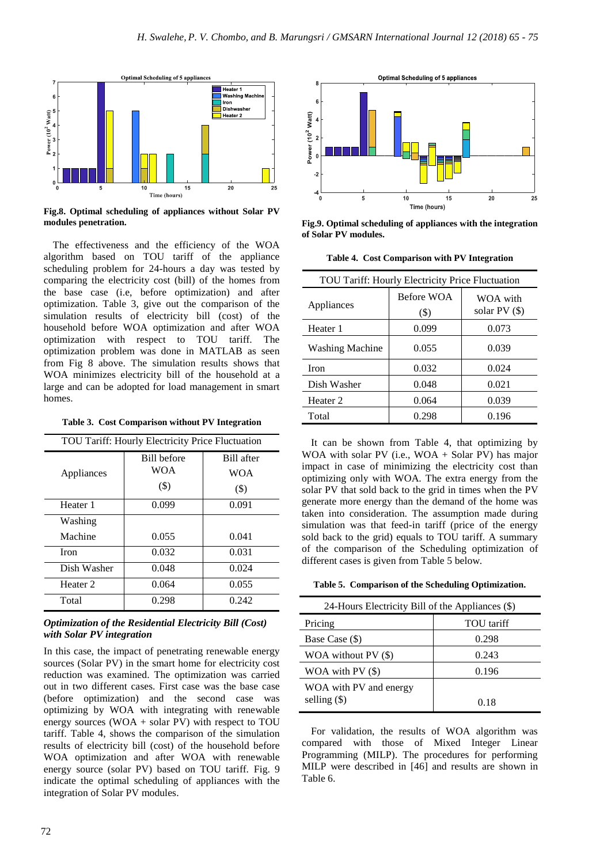

**Fig.8. Optimal scheduling of appliances without Solar PV modules penetration.**

The effectiveness and the efficiency of the WOA algorithm based on TOU tariff of the appliance scheduling problem for 24-hours a day was tested by comparing the electricity cost (bill) of the homes from the base case (i.e, before optimization) and after optimization. Table 3, give out the comparison of the simulation results of electricity bill (cost) of the household before WOA optimization and after WOA optimization with respect to TOU tariff. The optimization problem was done in MATLAB as seen from Fig 8 above. The simulation results shows that WOA minimizes electricity bill of the household at a large and can be adopted for load management in smart homes.

**Table 3. Cost Comparison without PV Integration**

| TOU Tariff: Hourly Electricity Price Fluctuation |             |            |
|--------------------------------------------------|-------------|------------|
|                                                  | Bill before | Bill after |
| Appliances                                       | <b>WOA</b>  | <b>WOA</b> |
|                                                  | $(\$)$      | $(\$)$     |
| Heater 1                                         | 0.099       | 0.091      |
| Washing                                          |             |            |
| Machine                                          | 0.055       | 0.041      |
| <b>Iron</b>                                      | 0.032       | 0.031      |
| Dish Washer                                      | 0.048       | 0.024      |
| Heater <sub>2</sub>                              | 0.064       | 0.055      |
| Total                                            | 0.298       | 0.242      |

### *Optimization of the Residential Electricity Bill (Cost) with Solar PV integration*

In this case, the impact of penetrating renewable energy sources (Solar PV) in the smart home for electricity cost reduction was examined. The optimization was carried out in two different cases. First case was the base case (before optimization) and the second case was optimizing by WOA with integrating with renewable energy sources (WOA + solar PV) with respect to TOU tariff. Table 4, shows the comparison of the simulation results of electricity bill (cost) of the household before WOA optimization and after WOA with renewable energy source (solar PV) based on TOU tariff. Fig. 9 indicate the optimal scheduling of appliances with the integration of Solar PV modules.



**Fig.9. Optimal scheduling of appliances with the integration of Solar PV modules.**

**Table 4. Cost Comparison with PV Integration**

| TOU Tariff: Hourly Electricity Price Fluctuation |                     |                              |
|--------------------------------------------------|---------------------|------------------------------|
| Appliances                                       | Before WOA<br>$($)$ | WOA with<br>solar PV $($ \$) |
| Heater 1                                         | 0.099               | 0.073                        |
| <b>Washing Machine</b>                           | 0.055               | 0.039                        |
| <b>Iron</b>                                      | 0.032               | 0.024                        |
| Dish Washer                                      | 0.048               | 0.021                        |
| Heater 2                                         | 0.064               | 0.039                        |
| Total                                            | 0.298               | 0.196                        |
|                                                  |                     |                              |

It can be shown from Table 4, that optimizing by WOA with solar PV (i.e., WOA + Solar PV) has major impact in case of minimizing the electricity cost than optimizing only with WOA. The extra energy from the solar PV that sold back to the grid in times when the PV generate more energy than the demand of the home was taken into consideration. The assumption made during simulation was that feed-in tariff (price of the energy sold back to the grid) equals to TOU tariff. A summary of the comparison of the Scheduling optimization of different cases is given from Table 5 below.

**Table 5. Comparison of the Scheduling Optimization.**

| 24-Hours Electricity Bill of the Appliances (\$) |            |  |
|--------------------------------------------------|------------|--|
| Pricing                                          | TOU tariff |  |
| Base Case (\$)                                   | 0.298      |  |
| WOA without PV (\$)                              | 0.243      |  |
| WOA with $PV($)$                                 | 0.196      |  |
| WOA with PV and energy                           |            |  |
| selling $(\$)$                                   | 0.18       |  |

For validation, the results of WOA algorithm was compared with those of Mixed Integer Linear Programming (MILP). The procedures for performing MILP were described in [46] and results are shown in Table 6.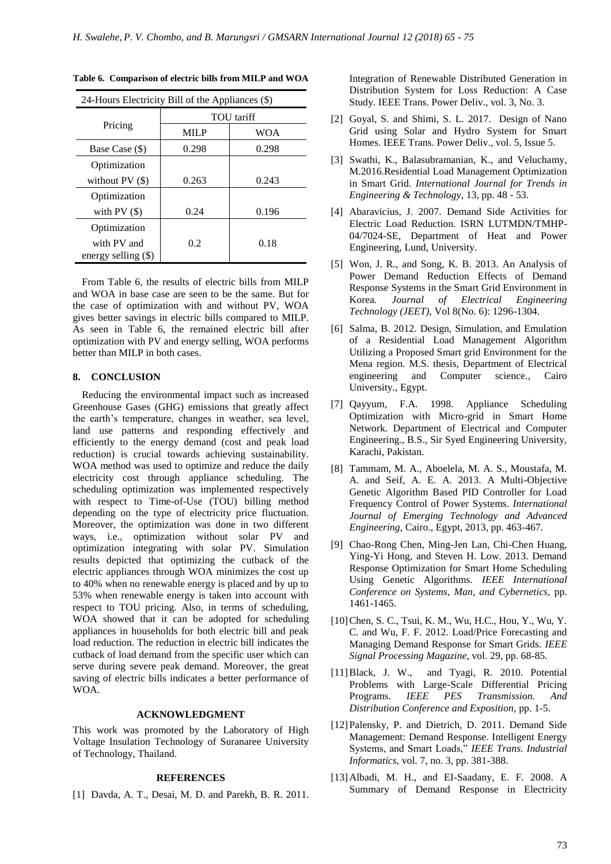| 24-Hours Electricity Bill of the Appliances (\$) |             |       |
|--------------------------------------------------|-------------|-------|
|                                                  | TOU tariff  |       |
| Pricing                                          | <b>MILP</b> | WOA   |
| Base Case (\$)                                   | 0.298       | 0.298 |
| Optimization                                     |             |       |
| without $PV($)$                                  | 0.263       | 0.243 |
| Optimization                                     |             |       |
| with $PV($)$                                     | 0.24        | 0.196 |
| Optimization                                     |             |       |
| with PV and                                      | 0.2         | 0.18  |
| energy selling $(\$)$                            |             |       |

**Table 6. Comparison of electric bills from MILP and WOA**

From Table 6, the results of electric bills from MILP and WOA in base case are seen to be the same. But for the case of optimization with and without PV, WOA gives better savings in electric bills compared to MILP. As seen in Table 6, the remained electric bill after optimization with PV and energy selling, WOA performs better than MILP in both cases.

# **8. CONCLUSION**

Reducing the environmental impact such as increased Greenhouse Gases (GHG) emissions that greatly affect the earth"s temperature, changes in weather, sea level, land use patterns and responding effectively and efficiently to the energy demand (cost and peak load reduction) is crucial towards achieving sustainability. WOA method was used to optimize and reduce the daily electricity cost through appliance scheduling. The scheduling optimization was implemented respectively with respect to Time-of-Use (TOU) billing method depending on the type of electricity price fluctuation. Moreover, the optimization was done in two different ways, i.e., optimization without solar PV and optimization integrating with solar PV. Simulation results depicted that optimizing the cutback of the electric appliances through WOA minimizes the cost up to 40% when no renewable energy is placed and by up to 53% when renewable energy is taken into account with respect to TOU pricing. Also, in terms of scheduling, WOA showed that it can be adopted for scheduling appliances in households for both electric bill and peak load reduction. The reduction in electric bill indicates the cutback of load demand from the specific user which can serve during severe peak demand. Moreover, the great saving of electric bills indicates a better performance of WOA.

#### **ACKNOWLEDGMENT**

This work was promoted by the Laboratory of High Voltage Insulation Technology of Suranaree University of Technology, Thailand.

#### **REFERENCES**

[1] Davda, A. T., Desai, M. D. and Parekh, B. R. 2011.

Integration of Renewable Distributed Generation in Distribution System for Loss Reduction: A Case Study. IEEE Trans. Power Deliv., vol. 3, No. 3.

- [2] Goyal, S. and Shimi, S. L. 2017. Design of Nano Grid using Solar and Hydro System for Smart Homes. IEEE Trans. Power Deliv., vol. 5, Issue 5.
- [3] Swathi, K., Balasubramanian, K., and Veluchamy, M.2016.Residential Load Management Optimization in Smart Grid. *International Journal for Trends in Engineering & Technology*, 13, pp. 48 - 53.
- [4] Abaravicius, J. 2007. Demand Side Activities for Electric Load Reduction. ISRN LUTMDN/TMHP-04/7024-SE, Department of Heat and Power Engineering, Lund, University.
- [5] Won, J. R., and Song, K. B. 2013. An Analysis of Power Demand Reduction Effects of Demand Response Systems in the Smart Grid Environment in Korea. *Journal of Electrical Engineering Technology (JEET),* Vol 8(No. 6): 1296-1304.
- [6] Salma, B. 2012. Design, Simulation, and Emulation of a Residential Load Management Algorithm Utilizing a Proposed Smart grid Environment for the Mena region. M.S. thesis, Department of Electrical engineering and Computer science., Cairo University., Egypt.
- [7] Qayyum, F.A. 1998. Appliance Scheduling Optimization with Micro-grid in Smart Home Network. Department of Electrical and Computer Engineering., B.S., Sir Syed Engineering University, Karachi, Pakistan.
- [8] Tammam, M. A., Aboelela, M. A. S., Moustafa, M. A. and Seif, A. E. A. 2013. A Multi-Objective Genetic Algorithm Based PID Controller for Load Frequency Control of Power Systems. *International Journal of Emerging Technology and Advanced Engineering,* Cairo., Egypt, 2013, pp. 463-467.
- [9] Chao-Rong Chen, Ming-Jen Lan, Chi-Chen Huang, Ying-Yi Hong, and Steven H. Low. 2013. Demand Response Optimization for Smart Home Scheduling Using Genetic Algorithms. *IEEE International Conference on Systems*, *Man, and Cybernetics,* pp. 1461-1465.
- [10]Chen, S. C., Tsui, K. M., Wu, H.C., Hou, Y., Wu, Y. C. and Wu, F. F. 2012. Load/Price Forecasting and Managing Demand Response for Smart Grids. *IEEE Signal Processing Magazine*, vol. 29, pp. 68-85.
- [11]Black, J. W., and Tyagi, R. 2010. Potential Problems with Large-Scale Differential Pricing Programs. *IEEE PES Transmission. And Distribution Conference and Exposition*, pp. 1-5.
- [12]Palensky, P. and Dietrich, D. 2011. Demand Side Management: Demand Response. Intelligent Energy Systems, and Smart Loads," *IEEE Trans. Industrial Informatics,* vol. 7, no. 3, pp. 381-388.
- [13]Albadi, M. H., and EI-Saadany, E. F. 2008. A Summary of Demand Response in Electricity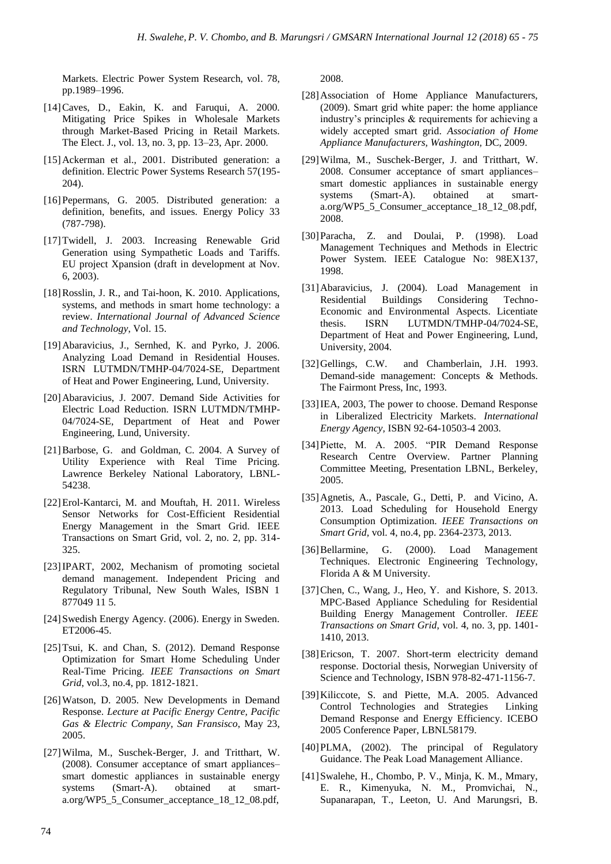Markets. Electric Power System Research, vol. 78, pp.1989–1996.

- [14]Caves, D., Eakin, K. and Faruqui, A. 2000. Mitigating Price Spikes in Wholesale Markets through Market-Based Pricing in Retail Markets. The Elect. J., vol. 13, no. 3, pp. 13–23, Apr. 2000.
- [15]Ackerman et al., 2001. Distributed generation: a definition. Electric Power Systems Research 57(195- 204).
- [16]Pepermans, G. 2005. Distributed generation: a definition, benefits, and issues. Energy Policy 33 (787-798).
- [17]Twidell, J. 2003. Increasing Renewable Grid Generation using Sympathetic Loads and Tariffs. EU project Xpansion (draft in development at Nov. 6, 2003).
- [18] Rosslin, J. R., and Tai-hoon, K. 2010. Applications, systems, and methods in smart home technology: a review. *International Journal of Advanced Science and Technology*, Vol. 15.
- [19]Abaravicius, J., Sernhed, K. and Pyrko, J. 2006. Analyzing Load Demand in Residential Houses. ISRN LUTMDN/TMHP-04/7024-SE, Department of Heat and Power Engineering, Lund, University.
- [20]Abaravicius, J. 2007. Demand Side Activities for Electric Load Reduction. ISRN LUTMDN/TMHP-04/7024-SE, Department of Heat and Power Engineering, Lund, University.
- [21]Barbose, G. and Goldman, C. 2004. A Survey of Utility Experience with Real Time Pricing. Lawrence Berkeley National Laboratory, LBNL-54238.
- [22]Erol-Kantarci, M. and Mouftah, H. 2011. Wireless Sensor Networks for Cost-Efficient Residential Energy Management in the Smart Grid. IEEE Transactions on Smart Grid, vol. 2, no. 2, pp. 314- 325.
- [23]IPART, 2002, Mechanism of promoting societal demand management. Independent Pricing and Regulatory Tribunal, New South Wales, ISBN 1 877049 11 5.
- [24] Swedish Energy Agency. (2006). Energy in Sweden. ET2006-45.
- [25] Tsui, K. and Chan, S. (2012). Demand Response Optimization for Smart Home Scheduling Under Real-Time Pricing. *IEEE Transactions on Smart Grid*, vol.3, no.4, pp. 1812-1821.
- [26]Watson, D. 2005. New Developments in Demand Response. *Lecture at Pacific Energy Centre, Pacific Gas & Electric Company*, *San Fransisco*, May 23, 2005.
- [27]Wilma, M., Suschek-Berger, J. and Tritthart, W. (2008). Consumer acceptance of smart appliances– smart domestic appliances in sustainable energy systems (Smart-A). obtained at smarta.org/WP5\_5\_Consumer\_acceptance\_18\_12\_08.pdf,

2008.

- [28]Association of Home Appliance Manufacturers, (2009). Smart grid white paper: the home appliance industry"s principles & requirements for achieving a widely accepted smart grid. *Association of Home Appliance Manufacturers, Washington,* DC, 2009.
- [29]Wilma, M., Suschek-Berger, J. and Tritthart, W. 2008. Consumer acceptance of smart appliances– smart domestic appliances in sustainable energy systems (Smart-A). obtained at smarta.org/WP5\_5\_Consumer\_acceptance\_18\_12\_08.pdf, 2008.
- [30]Paracha, Z. and Doulai, P. (1998). Load Management Techniques and Methods in Electric Power System. IEEE Catalogue No: 98EX137, 1998.
- [31]Abaravicius, J. (2004). Load Management in Residential Buildings Considering Techno-Economic and Environmental Aspects. Licentiate thesis. ISRN LUTMDN/TMHP-04/7024-SE, Department of Heat and Power Engineering, Lund, University, 2004.
- [32]Gellings, C.W. and Chamberlain, J.H. 1993. Demand-side management: Concepts & Methods. The Fairmont Press, Inc, 1993.
- [33]IEA, 2003, The power to choose. Demand Response in Liberalized Electricity Markets. *International Energy Agency,* ISBN 92-64-10503-4 2003.
- [34]Piette, M. A. 2005. "PIR Demand Response Research Centre Overview. Partner Planning Committee Meeting, Presentation LBNL, Berkeley, 2005.
- [35]Agnetis, A., Pascale, G., Detti, P. and Vicino, A. 2013. Load Scheduling for Household Energy Consumption Optimization. *IEEE Transactions on Smart Grid,* vol. 4, no.4, pp. 2364-2373, 2013.
- [36] Bellarmine, G. (2000). Load Management Techniques. Electronic Engineering Technology, Florida A & M University.
- [37] Chen, C., Wang, J., Heo, Y. and Kishore, S. 2013. MPC-Based Appliance Scheduling for Residential Building Energy Management Controller. *IEEE Transactions on Smart Grid*, vol. 4, no. 3, pp. 1401- 1410, 2013.
- [38]Ericson, T. 2007. Short-term electricity demand response. Doctorial thesis, Norwegian University of Science and Technology, ISBN 978-82-471-1156-7.
- [39]Kiliccote, S. and Piette, M.A. 2005. Advanced Control Technologies and Strategies Linking Demand Response and Energy Efficiency. ICEBO 2005 Conference Paper, LBNL58179.
- [40]PLMA, (2002). The principal of Regulatory Guidance. The Peak Load Management Alliance.
- [41]Swalehe, H., Chombo, P. V., Minja, K. M., Mmary, E. R., Kimenyuka, N. M., Promvichai, N., Supanarapan, T., Leeton, U. And Marungsri, B.